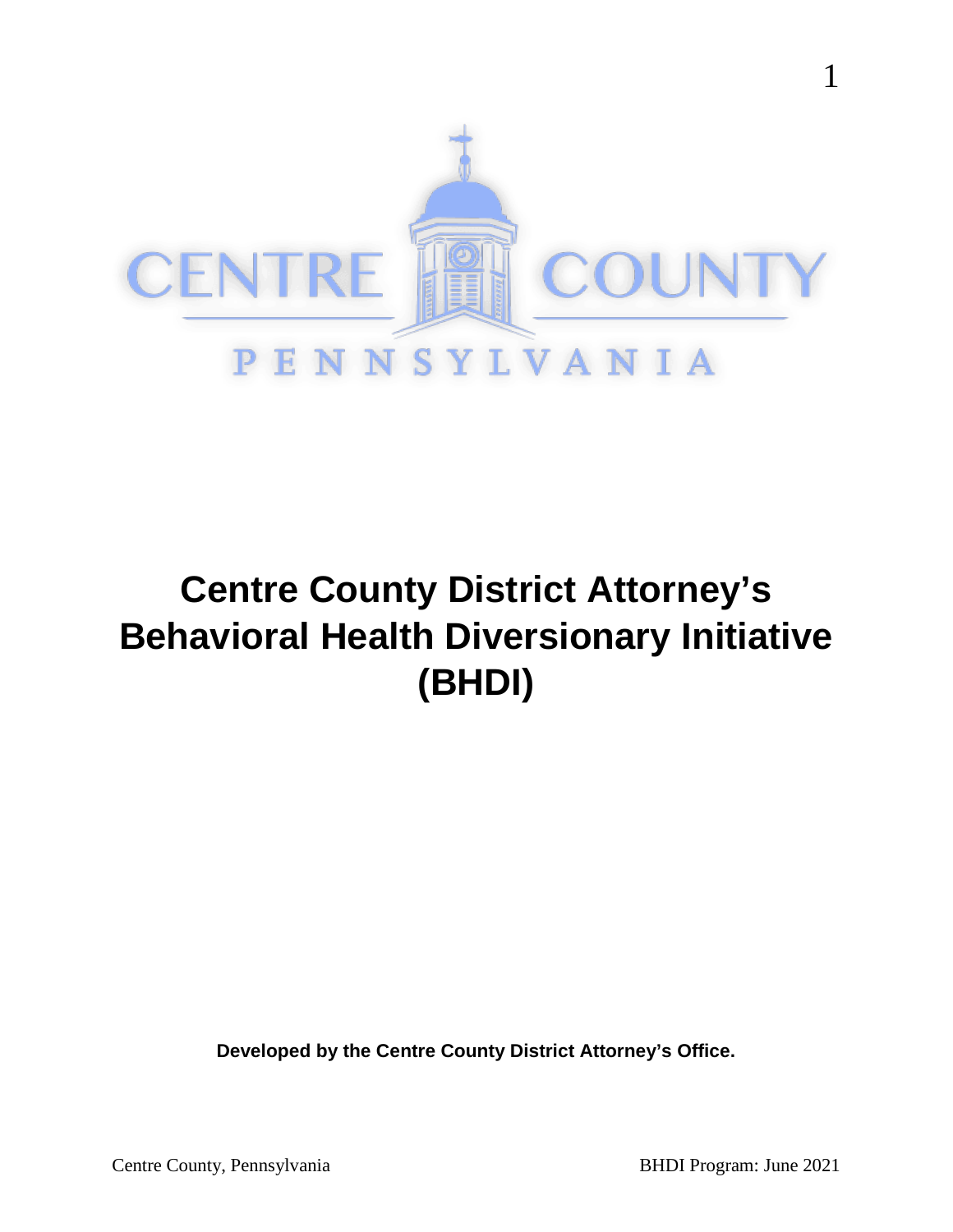

# **Centre County District Attorney's Behavioral Health Diversionary Initiative (BHDI)**

**Developed by the Centre County District Attorney's Office.**

1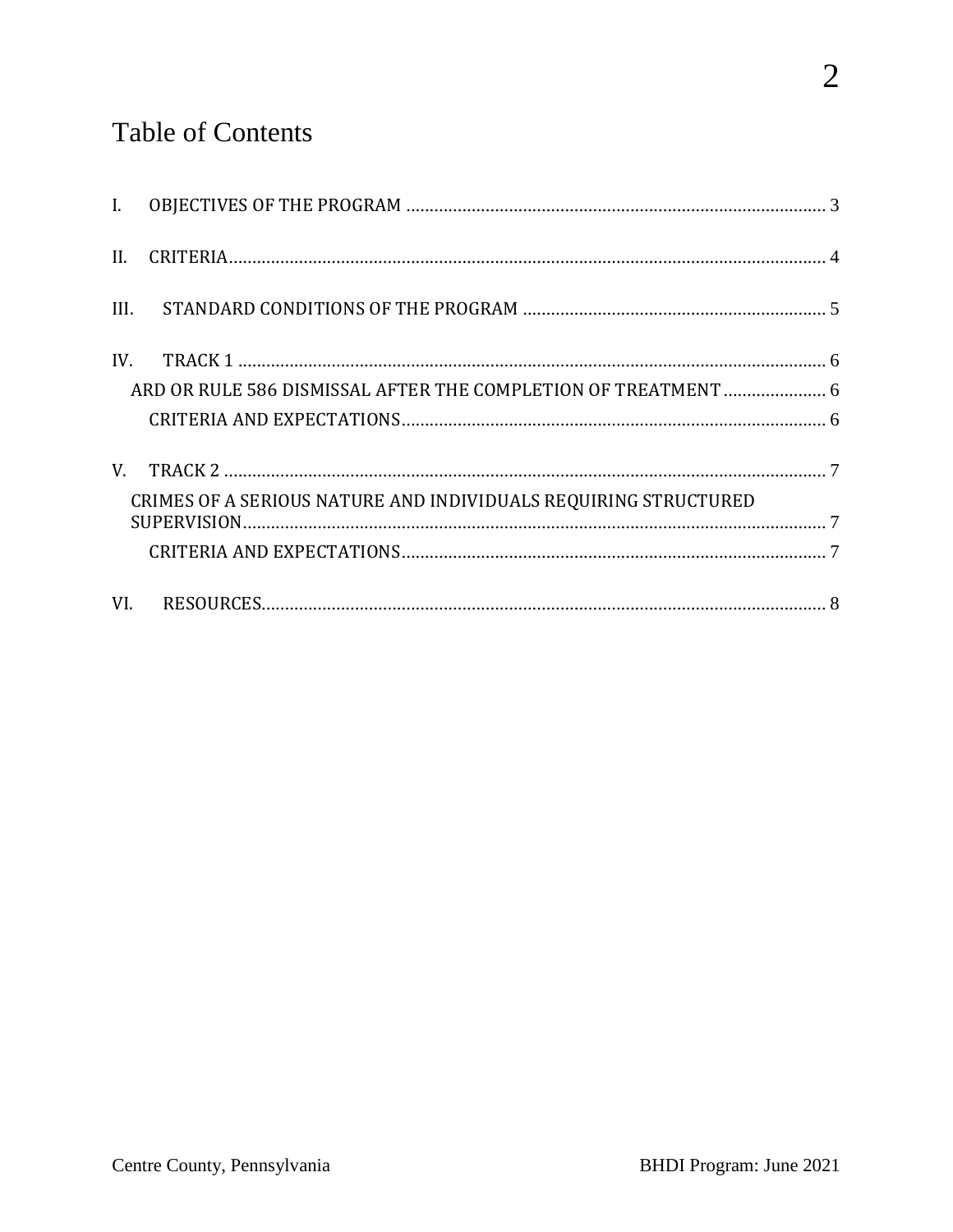# **Table of Contents**

| $\mathbf{I}$ . |                                                                 |  |
|----------------|-----------------------------------------------------------------|--|
| II.            |                                                                 |  |
| III.           |                                                                 |  |
| IV.            |                                                                 |  |
|                | ARD OR RULE 586 DISMISSAL AFTER THE COMPLETION OF TREATMENT  6  |  |
|                |                                                                 |  |
| V.             |                                                                 |  |
|                | CRIMES OF A SERIOUS NATURE AND INDIVIDUALS REQUIRING STRUCTURED |  |
|                |                                                                 |  |
|                |                                                                 |  |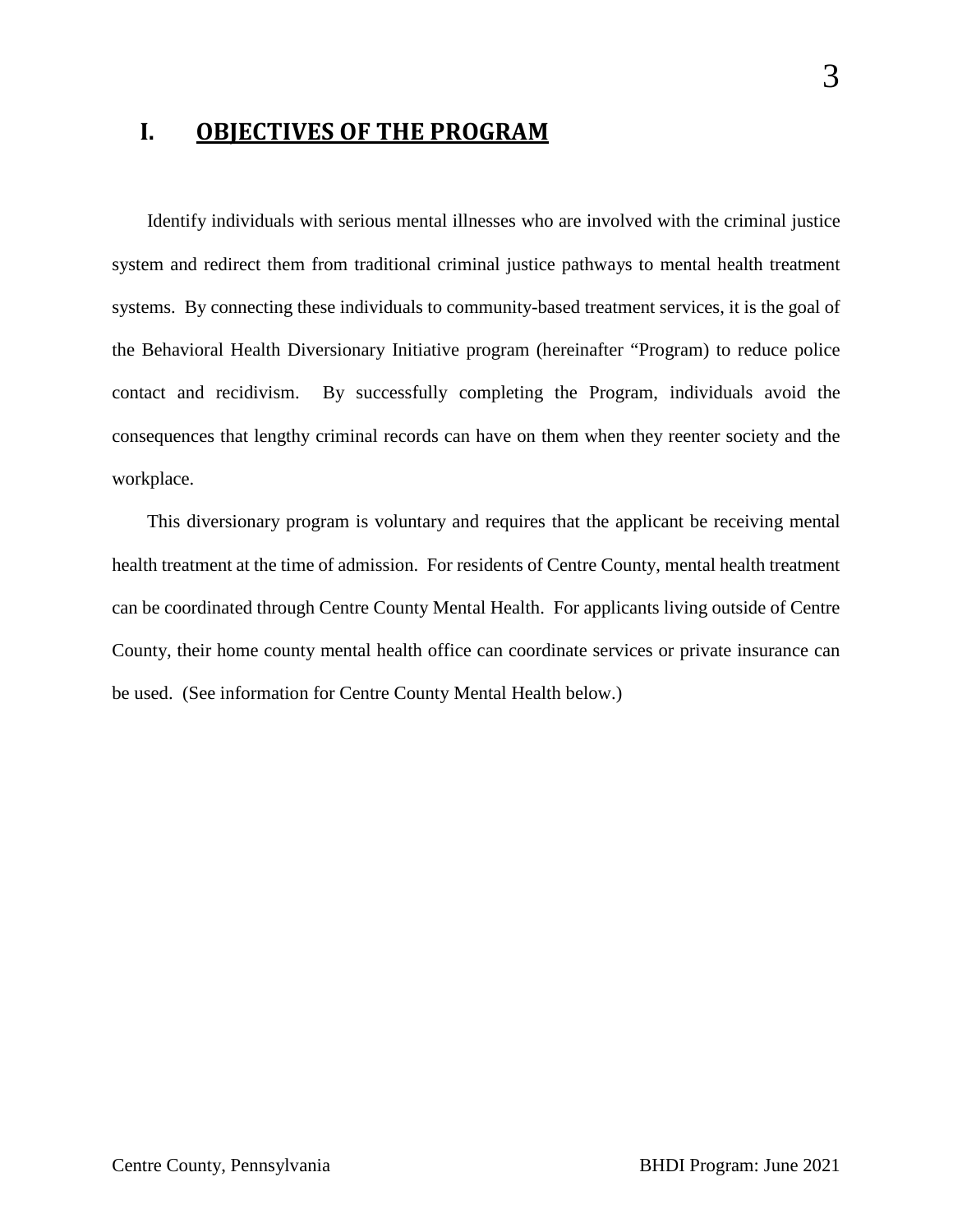#### <span id="page-2-0"></span>**I. OBJECTIVES OF THE PROGRAM**

Identify individuals with serious mental illnesses who are involved with the criminal justice system and redirect them from traditional criminal justice pathways to mental health treatment systems. By connecting these individuals to community-based treatment services, it is the goal of the Behavioral Health Diversionary Initiative program (hereinafter "Program) to reduce police contact and recidivism. By successfully completing the Program, individuals avoid the consequences that lengthy criminal records can have on them when they reenter society and the workplace.

This diversionary program is voluntary and requires that the applicant be receiving mental health treatment at the time of admission. For residents of Centre County, mental health treatment can be coordinated through Centre County Mental Health. For applicants living outside of Centre County, their home county mental health office can coordinate services or private insurance can be used. (See information for Centre County Mental Health below.)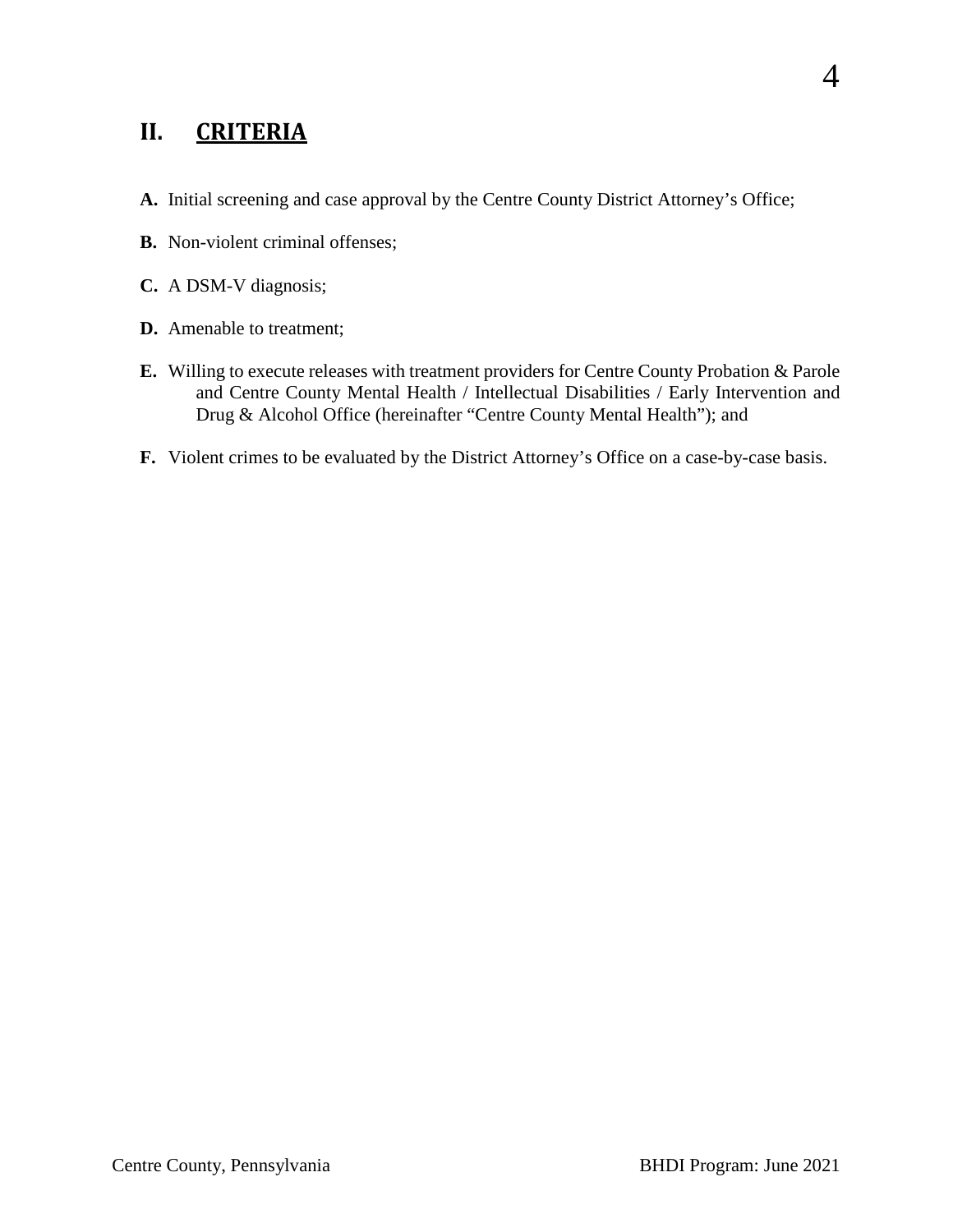# <span id="page-3-0"></span>**II. CRITERIA**

- **A.** Initial screening and case approval by the Centre County District Attorney's Office;
- **B.** Non-violent criminal offenses;
- **C.** A DSM-V diagnosis;
- **D.** Amenable to treatment;
- **E.** Willing to execute releases with treatment providers for Centre County Probation & Parole and Centre County Mental Health / Intellectual Disabilities / Early Intervention and Drug & Alcohol Office (hereinafter "Centre County Mental Health"); and
- **F.** Violent crimes to be evaluated by the District Attorney's Office on a case-by-case basis.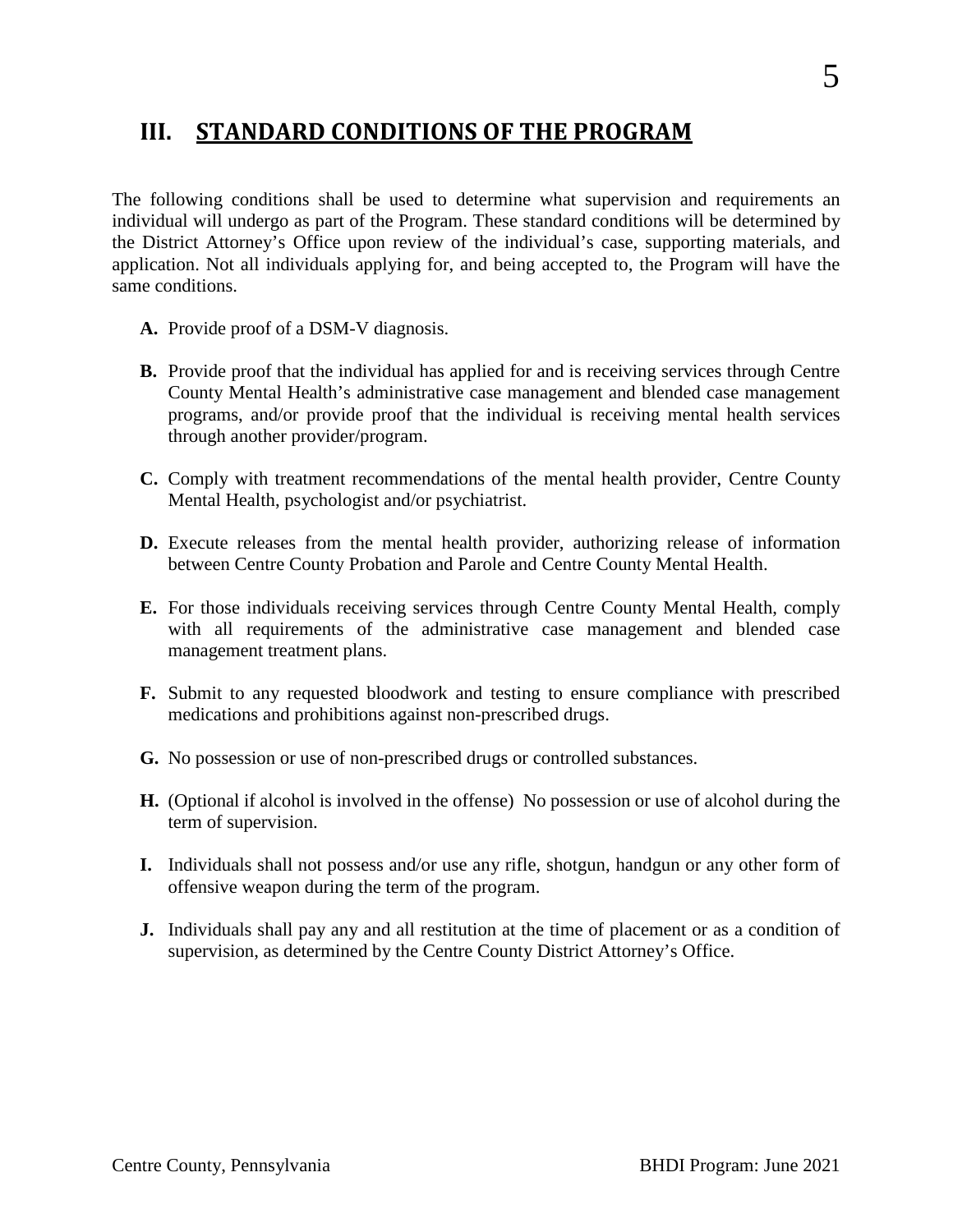## <span id="page-4-0"></span>**III. STANDARD CONDITIONS OF THE PROGRAM**

The following conditions shall be used to determine what supervision and requirements an individual will undergo as part of the Program. These standard conditions will be determined by the District Attorney's Office upon review of the individual's case, supporting materials, and application. Not all individuals applying for, and being accepted to, the Program will have the same conditions.

- **A.** Provide proof of a DSM-V diagnosis.
- **B.** Provide proof that the individual has applied for and is receiving services through Centre County Mental Health's administrative case management and blended case management programs, and/or provide proof that the individual is receiving mental health services through another provider/program.
- **C.** Comply with treatment recommendations of the mental health provider, Centre County Mental Health, psychologist and/or psychiatrist.
- **D.** Execute releases from the mental health provider, authorizing release of information between Centre County Probation and Parole and Centre County Mental Health.
- **E.** For those individuals receiving services through Centre County Mental Health, comply with all requirements of the administrative case management and blended case management treatment plans.
- **F.** Submit to any requested bloodwork and testing to ensure compliance with prescribed medications and prohibitions against non-prescribed drugs.
- **G.** No possession or use of non-prescribed drugs or controlled substances.
- **H.** (Optional if alcohol is involved in the offense) No possession or use of alcohol during the term of supervision.
- **I.** Individuals shall not possess and/or use any rifle, shotgun, handgun or any other form of offensive weapon during the term of the program.
- **J.** Individuals shall pay any and all restitution at the time of placement or as a condition of supervision, as determined by the Centre County District Attorney's Office.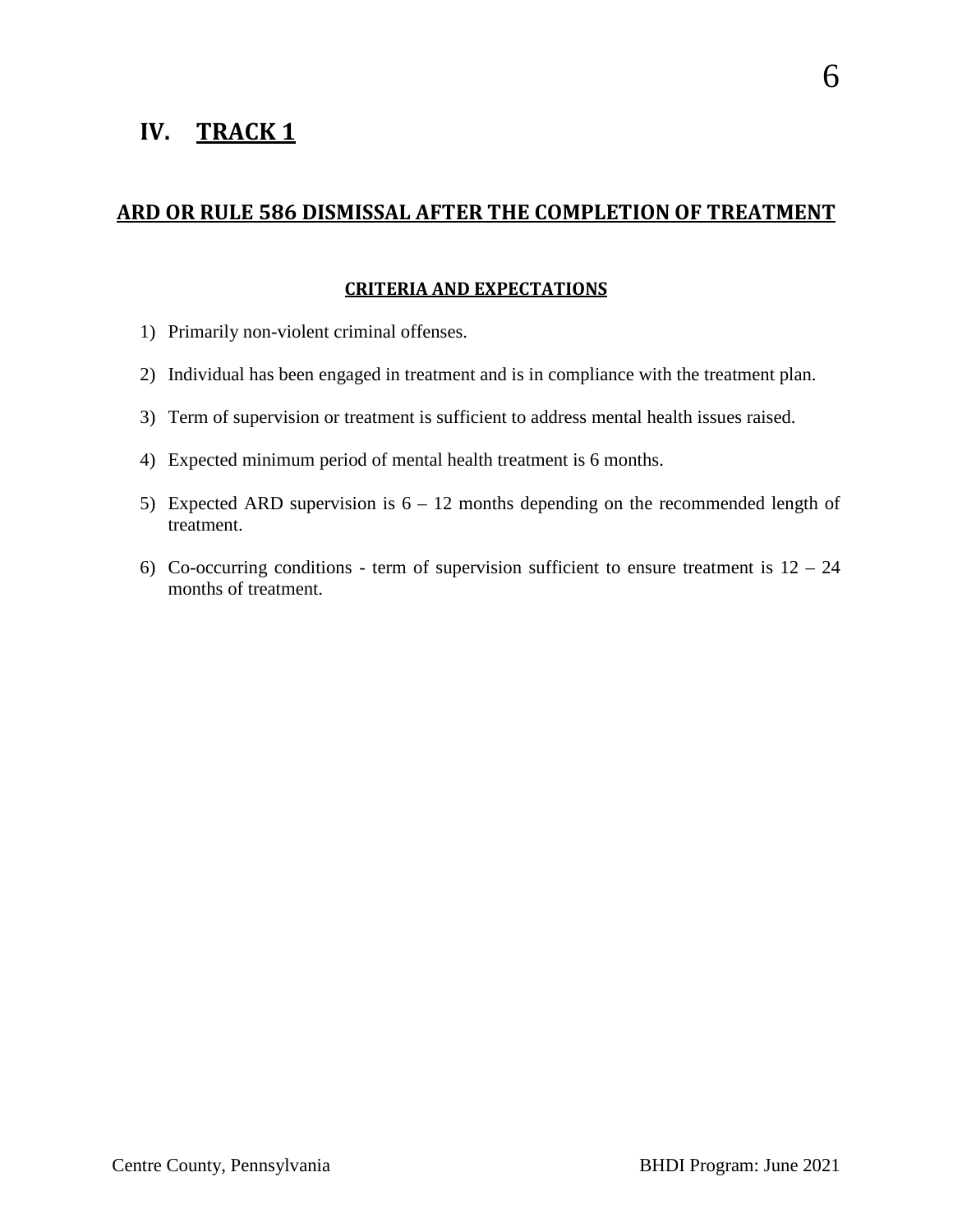# <span id="page-5-0"></span>**IV. TRACK 1**

#### <span id="page-5-1"></span>**ARD OR RULE 586 DISMISSAL AFTER THE COMPLETION OF TREATMENT**

#### **CRITERIA AND EXPECTATIONS**

- <span id="page-5-2"></span>1) Primarily non-violent criminal offenses.
- 2) Individual has been engaged in treatment and is in compliance with the treatment plan.
- 3) Term of supervision or treatment is sufficient to address mental health issues raised.
- 4) Expected minimum period of mental health treatment is 6 months.
- 5) Expected ARD supervision is  $6 12$  months depending on the recommended length of treatment.
- 6) Co-occurring conditions term of supervision sufficient to ensure treatment is  $12 24$ months of treatment.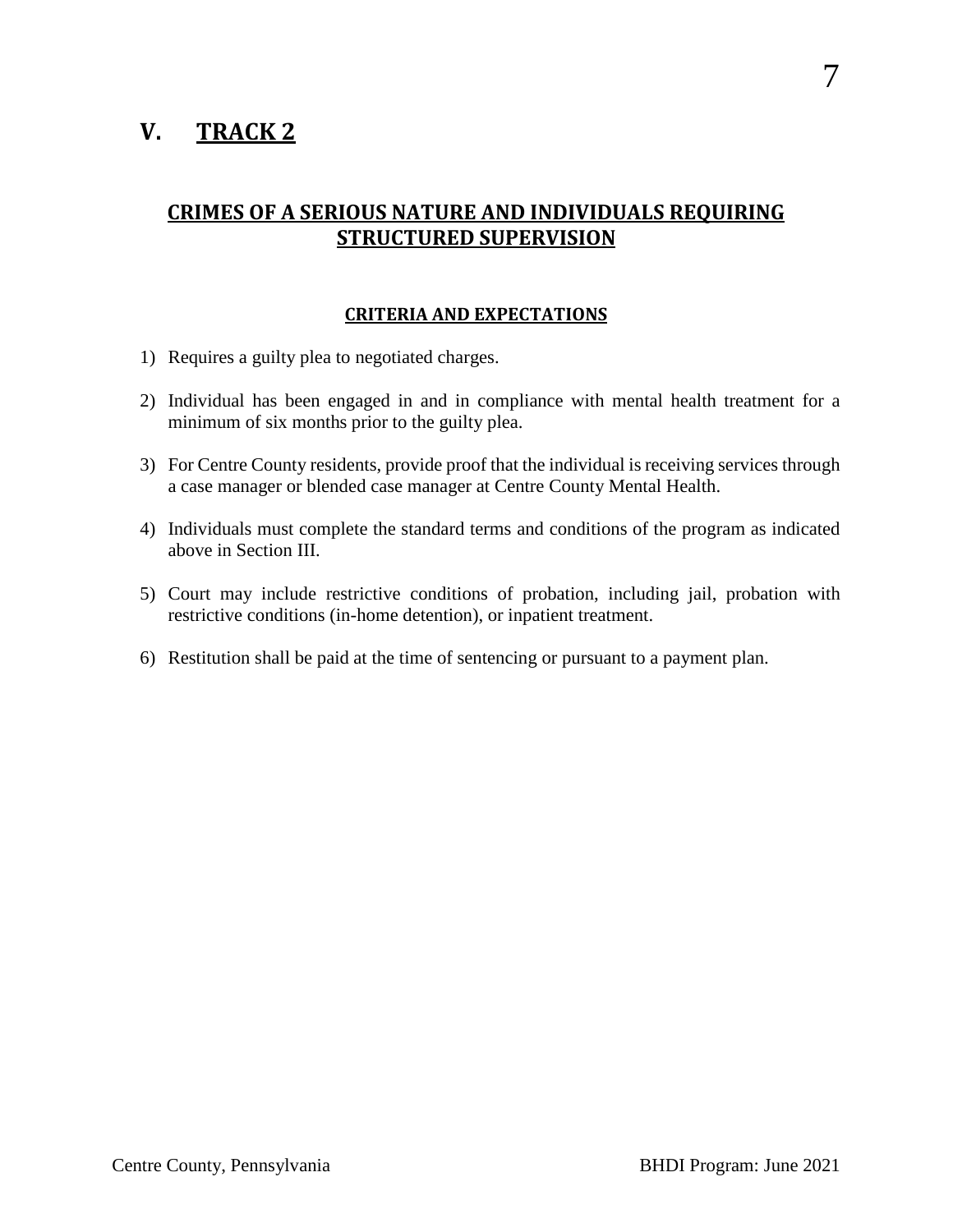# <span id="page-6-0"></span>**V. TRACK 2**

### <span id="page-6-1"></span>**CRIMES OF A SERIOUS NATURE AND INDIVIDUALS REQUIRING STRUCTURED SUPERVISION**

#### **CRITERIA AND EXPECTATIONS**

- <span id="page-6-2"></span>1) Requires a guilty plea to negotiated charges.
- 2) Individual has been engaged in and in compliance with mental health treatment for a minimum of six months prior to the guilty plea.
- 3) For Centre County residents, provide proof that the individual is receiving services through a case manager or blended case manager at Centre County Mental Health.
- 4) Individuals must complete the standard terms and conditions of the program as indicated above in Section III.
- 5) Court may include restrictive conditions of probation, including jail, probation with restrictive conditions (in-home detention), or inpatient treatment.
- 6) Restitution shall be paid at the time of sentencing or pursuant to a payment plan.